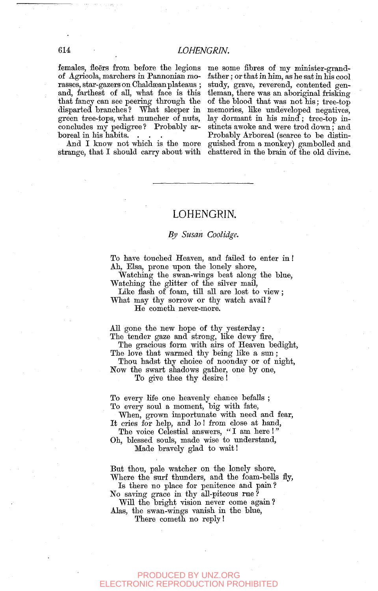females, fleers from before the legions me some fibres of my minister-grand-<br>of Agricola, marchers in Pannonian mo- father; or that in him, as he sat in his cool of Agricola, marchers in Pannonian mo- father; or that in him, as he sat in his cool<br>rasses, star-gazers on Chaldæan plateaus ; study, grave, reverend, contented genrasses, star-gazers on Chaldæan plateaus ; study, grave, reverend, contented genand, farthest of all, what face is this tleman, there was an aboriginal frisking that fancy can see peering through the of the blood that was not his; tree-top disparted branches? What sleeper in memories, like undeveloped negatives. green tree-tops, what muncher of nuts, lay dormant in his mind; tree-top inconcludes my pedigree? Probably ar- stincts awoke and were trod down; and

boreal in his habits.  $\therefore$  Probably Arboreal (scarce to be distin-<br>And I know not which is the more guished from a monkey) gambolled and guished from a monkey) gambolled and strange, that I should carry about with chattered in the brain of the old divine.

## LOHENGRIN.

### *By Susan Coolidge.*

To have touched Heaven, and failed to enter in! Ah, Elsa, prone upon the lonely shore,

Watching the swan-wings beat along the blue. Watching the glitter of the silver mail,

Like flash of foam, till all are lost to view; What may thy sorrow or thy watch avail?

He cometh never-more.

AU gone the new hope of thy yesterday: The tender gaze and strong, like dewy fire,

The gracious form with airs of Heaven bedight, The love that warmed thy being like a sun;

Thou hadst thy choice of noonday or of night. Now the swart shadows gather, one by one, To give thee thy desire!

To every life one heavenly chance befalls ; To every soul a moment, big with fate.

When, grown importunate with need and fear. It cries for help, and lo! from close at hand.

The voice Celestial answers, "I am here !" Oh, blessed souls, made wise to understand.

Made bravely glad to wait!

But thou, pale watcher on the lonely shore. Where the surf thunders, and the foam-bells fly,

Is there no place for penitence and pain? No saving grace in thy all-piteous rue ?

Will the bright vision never come again? Alas, the swan-wings vanish ia the blue,

There cometh no reply!

### PRODUCED BY UNZ.ORG **ECTRONIC REPRODUCTION PROHIBITED**